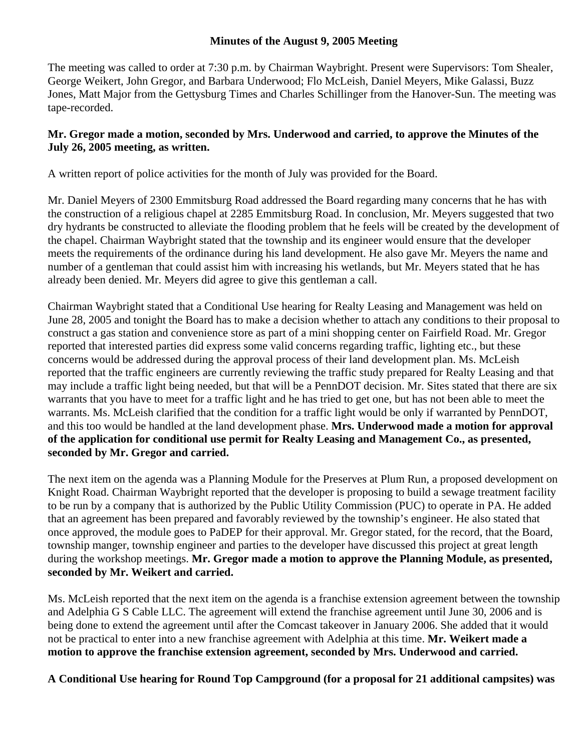## **Minutes of the August 9, 2005 Meeting**

The meeting was called to order at 7:30 p.m. by Chairman Waybright. Present were Supervisors: Tom Shealer, George Weikert, John Gregor, and Barbara Underwood; Flo McLeish, Daniel Meyers, Mike Galassi, Buzz Jones, Matt Major from the Gettysburg Times and Charles Schillinger from the Hanover-Sun. The meeting was tape-recorded.

## **Mr. Gregor made a motion, seconded by Mrs. Underwood and carried, to approve the Minutes of the July 26, 2005 meeting, as written.**

A written report of police activities for the month of July was provided for the Board.

Mr. Daniel Meyers of 2300 Emmitsburg Road addressed the Board regarding many concerns that he has with the construction of a religious chapel at 2285 Emmitsburg Road. In conclusion, Mr. Meyers suggested that two dry hydrants be constructed to alleviate the flooding problem that he feels will be created by the development of the chapel. Chairman Waybright stated that the township and its engineer would ensure that the developer meets the requirements of the ordinance during his land development. He also gave Mr. Meyers the name and number of a gentleman that could assist him with increasing his wetlands, but Mr. Meyers stated that he has already been denied. Mr. Meyers did agree to give this gentleman a call.

Chairman Waybright stated that a Conditional Use hearing for Realty Leasing and Management was held on June 28, 2005 and tonight the Board has to make a decision whether to attach any conditions to their proposal to construct a gas station and convenience store as part of a mini shopping center on Fairfield Road. Mr. Gregor reported that interested parties did express some valid concerns regarding traffic, lighting etc., but these concerns would be addressed during the approval process of their land development plan. Ms. McLeish reported that the traffic engineers are currently reviewing the traffic study prepared for Realty Leasing and that may include a traffic light being needed, but that will be a PennDOT decision. Mr. Sites stated that there are six warrants that you have to meet for a traffic light and he has tried to get one, but has not been able to meet the warrants. Ms. McLeish clarified that the condition for a traffic light would be only if warranted by PennDOT, and this too would be handled at the land development phase. **Mrs. Underwood made a motion for approval of the application for conditional use permit for Realty Leasing and Management Co., as presented, seconded by Mr. Gregor and carried.** 

The next item on the agenda was a Planning Module for the Preserves at Plum Run, a proposed development on Knight Road. Chairman Waybright reported that the developer is proposing to build a sewage treatment facility to be run by a company that is authorized by the Public Utility Commission (PUC) to operate in PA. He added that an agreement has been prepared and favorably reviewed by the township's engineer. He also stated that once approved, the module goes to PaDEP for their approval. Mr. Gregor stated, for the record, that the Board, township manger, township engineer and parties to the developer have discussed this project at great length during the workshop meetings. **Mr. Gregor made a motion to approve the Planning Module, as presented, seconded by Mr. Weikert and carried.** 

Ms. McLeish reported that the next item on the agenda is a franchise extension agreement between the township and Adelphia G S Cable LLC. The agreement will extend the franchise agreement until June 30, 2006 and is being done to extend the agreement until after the Comcast takeover in January 2006. She added that it would not be practical to enter into a new franchise agreement with Adelphia at this time. **Mr. Weikert made a motion to approve the franchise extension agreement, seconded by Mrs. Underwood and carried.** 

**A Conditional Use hearing for Round Top Campground (for a proposal for 21 additional campsites) was**